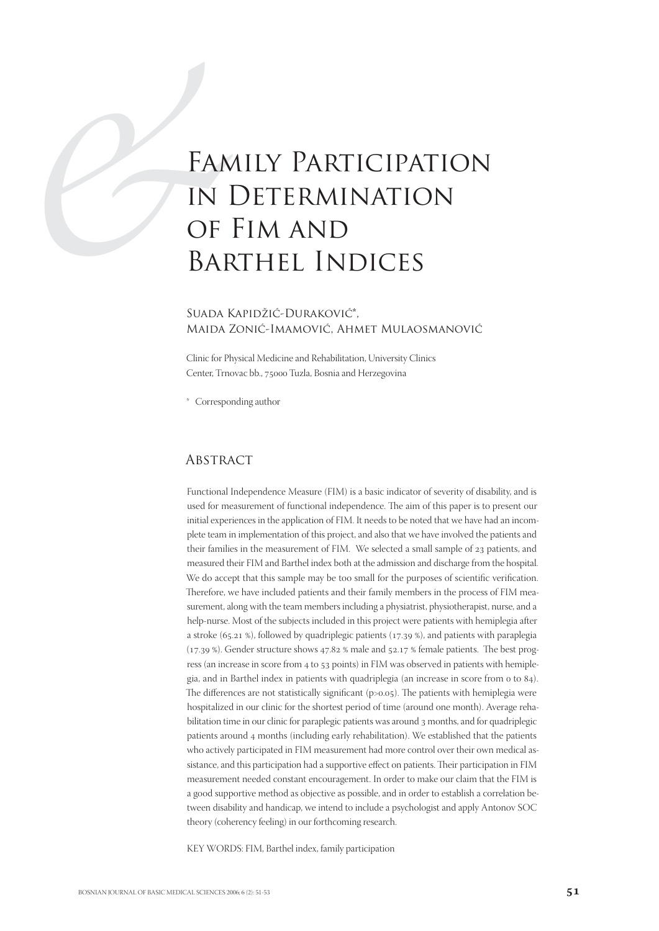# & Family Participation in Determination of Fim and Barthel Indices

# Suada Kapidžić-Duraković\*, Maida Zonić-Imamović, Ahmet Mulaosmanović

 Clinic for Physical Medicine and Rehabilitation, University Clinics Center, Trnovac bb., 75000 Tuzla, Bosnia and Herzegovina

\* Corresponding author

#### **ABSTRACT**

Functional Independence Measure (FIM) is a basic indicator of severity of disability, and is used for measurement of functional independence. The aim of this paper is to present our initial experiences in the application of FIM. It needs to be noted that we have had an incomplete team in implementation of this project, and also that we have involved the patients and their families in the measurement of FIM. We selected a small sample of 23 patients, and measured their FIM and Barthel index both at the admission and discharge from the hospital. We do accept that this sample may be too small for the purposes of scientific verification. Therefore, we have included patients and their family members in the process of FIM measurement, along with the team members including a physiatrist, physiotherapist, nurse, and a help-nurse. Most of the subjects included in this project were patients with hemiplegia after a stroke (65.21 %), followed by quadriplegic patients (17.39 %), and patients with paraplegia  $(17.39$  %). Gender structure shows  $47.82$  % male and  $52.17$  % female patients. The best progress (an increase in score from 4 to 53 points) in FIM was observed in patients with hemiplegia, and in Barthel index in patients with quadriplegia (an increase in score from  $o$  to  $84$ ). The differences are not statistically significant  $(p>0.05)$ . The patients with hemiplegia were hospitalized in our clinic for the shortest period of time (around one month). Average rehabilitation time in our clinic for paraplegic patients was around 3 months, and for quadriplegic patients around 4 months (including early rehabilitation). We established that the patients who actively participated in FIM measurement had more control over their own medical assistance, and this participation had a supportive effect on patients. Their participation in FIM measurement needed constant encouragement. In order to make our claim that the FIM is a good supportive method as objective as possible, and in order to establish a correlation between disability and handicap, we intend to include a psychologist and apply Antonov SOC theory (coherency feeling) in our forthcoming research.

KEY WORDS: FIM, Barthel index, family participation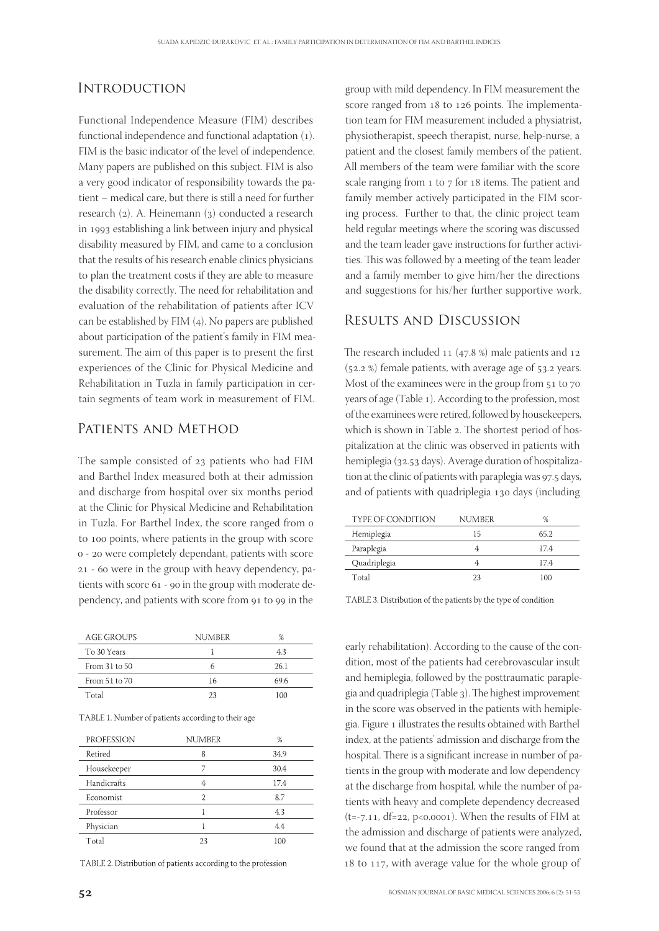# **INTRODUCTION**

Functional Independence Measure (FIM) describes functional independence and functional adaptation (1). FIM is the basic indicator of the level of independence. Many papers are published on this subject. FIM is also a very good indicator of responsibility towards the patient – medical care, but there is still a need for further research (2). A. Heinemann (3) conducted a research in 1993 establishing a link between injury and physical disability measured by FIM, and came to a conclusion that the results of his research enable clinics physicians to plan the treatment costs if they are able to measure the disability correctly. The need for rehabilitation and evaluation of the rehabilitation of patients after ICV can be established by FIM  $(4)$ . No papers are published about participation of the patient's family in FIM measurement. The aim of this paper is to present the first experiences of the Clinic for Physical Medicine and Rehabilitation in Tuzla in family participation in certain segments of team work in measurement of FIM.

## Patients and Method

The sample consisted of  $23$  patients who had FIM and Barthel Index measured both at their admission and discharge from hospital over six months period at the Clinic for Physical Medicine and Rehabilitation in Tuzla. For Barthel Index, the score ranged from to 100 points, where patients in the group with score o - 20 were completely dependant, patients with score  $21 - 60$  were in the group with heavy dependency, patients with score 61 - 90 in the group with moderate dependency, and patients with score from 91 to 99 in the

| <b>AGE GROUPS</b> | NUMBER | %    |
|-------------------|--------|------|
| To 30 Years       |        | 43   |
| From 31 to 50     |        | 26.1 |
| From 51 to 70     | 16     | 696  |
| Total             | つっ     | 100  |

TABLE 1. Number of patients according to their age

| <b>PROFESSION</b> | <b>NUMBER</b> | %    |
|-------------------|---------------|------|
| Retired           | 8             | 34.9 |
| Housekeeper       | 7             | 30.4 |
| Handicrafts       | 4             | 17.4 |
| Economist         | $\mathcal{P}$ | 8.7  |
| Professor         |               | 4.3  |
| Physician         |               | 4.4  |
| Total             | 23            | 100  |

TABLE 2. Distribution of patients according to the profession

group with mild dependency. In FIM measurement the score ranged from 18 to 126 points. The implementation team for FIM measurement included a physiatrist, physiotherapist, speech therapist, nurse, help-nurse, a patient and the closest family members of the patient. All members of the team were familiar with the score scale ranging from  $1$  to  $7$  for  $18$  items. The patient and family member actively participated in the FIM scoring process. Further to that, the clinic project team held regular meetings where the scoring was discussed and the team leader gave instructions for further activities. This was followed by a meeting of the team leader and a family member to give him/her the directions and suggestions for his/her further supportive work.

#### Results and Discussion

The research included  $11$  (47.8 %) male patients and  $12$  $(52.2 %)$  female patients, with average age of  $53.2$  years. Most of the examinees were in the group from  $51$  to  $70$ years of age (Table ). According to the profession, most of the examinees were retired, followed by housekeepers, which is shown in Table 2. The shortest period of hospitalization at the clinic was observed in patients with hemiplegia (32.53 days). Average duration of hospitalization at the clinic of patients with paraplegia was 97.5 days, and of patients with quadriplegia 130 days (including

| <b>TYPE OF CONDITION</b> | NI IMBER | %    |
|--------------------------|----------|------|
| Hemiplegia               | 15       | 652  |
| Paraplegia               | 4        | 174  |
| Quadriplegia             | 4        | 17.4 |
| Total                    | 23       | 100  |

TABLE 3. Distribution of the patients by the type of condition

early rehabilitation). According to the cause of the condition, most of the patients had cerebrovascular insult and hemiplegia, followed by the posttraumatic paraplegia and quadriplegia (Table 3). The highest improvement in the score was observed in the patients with hemiplegia. Figure illustrates the results obtained with Barthel index, at the patients' admission and discharge from the hospital. There is a significant increase in number of patients in the group with moderate and low dependency at the discharge from hospital, while the number of patients with heavy and complete dependency decreased  $(t=-7.11, df=-22, p<0.0001)$ . When the results of FIM at the admission and discharge of patients were analyzed, we found that at the admission the score ranged from 18 to 117, with average value for the whole group of